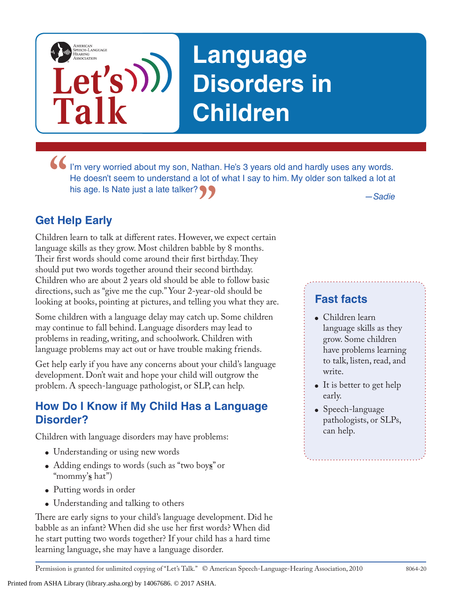## **Language Disorders in Children**

I'm very worried about my son, Nathan. He's 3 years old and hardly uses any words.<br>He doesn't seem to understand a lot of what I say to him. My older son talked a lot at<br>his age. Is Nate just a late talker?<br><br><br><br><br><br><br><br><br><br><br><br><br><br><br><br> **"** *—Sadie* He doesn't seem to understand a lot of what I say to him. My older son talked a lot at his age. Is Nate just a late talker?

### **Get Help Early**

**Let's**

**Talk**

AMERICAN<br>SPEECH-LANGUAGE-<br>HEARING<br>ASSOCIATION

Children learn to talk at different rates. However, we expect certain language skills as they grow. Most children babble by 8 months. Their first words should come around their first birthday. They should put two words together around their second birthday. Children who are about 2 years old should be able to follow basic directions, such as "give me the cup." Your 2-year-old should be looking at books, pointing at pictures, and telling you what they are.

Some children with a language delay may catch up. Some children may continue to fall behind. Language disorders may lead to problems in reading, writing, and schoolwork. Children with language problems may act out or have trouble making friends.

Get help early if you have any concerns about your child's language development. Don't wait and hope your child will outgrow the problem. A speech-language pathologist, or SLP, can help.

#### **How Do I Know if My Child Has a Language Disorder?**

Children with language disorders may have problems:

- Understanding or using new words
- Adding endings to words (such as "two boy**s**" or "mommy'**s** hat")
- Putting words in order
- Understanding and talking to others

There are early signs to your child's language development. Did he babble as an infant? When did she use her first words? When did he start putting two words together? If your child has a hard time learning language, she may have a language disorder.

#### **Fast facts**

- Children learn language skills as they grow. Some children have problems learning to talk, listen, read, and write.
- It is better to get help early.
- Speech-language pathologists, or SLPs, can help.